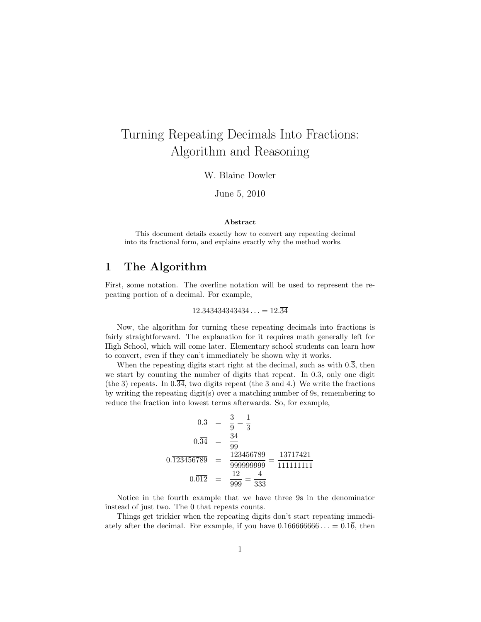## Turning Repeating Decimals Into Fractions: Algorithm and Reasoning

W. Blaine Dowler

June 5, 2010

## Abstract

This document details exactly how to convert any repeating decimal into its fractional form, and explains exactly why the method works.

## 1 The Algorithm

First, some notation. The overline notation will be used to represent the repeating portion of a decimal. For example,

$$
12.343434343434\ldots = 12.\overline{34}
$$

Now, the algorithm for turning these repeating decimals into fractions is fairly straightforward. The explanation for it requires math generally left for High School, which will come later. Elementary school students can learn how to convert, even if they can't immediately be shown why it works.

When the repeating digits start right at the decimal, such as with  $0.\overline{3}$ , then we start by counting the number of digits that repeat. In  $0.\overline{3}$ , only one digit (the 3) repeats. In  $0.\overline{34}$ , two digits repeat (the 3 and 4.) We write the fractions by writing the repeating digit(s) over a matching number of 9s, remembering to reduce the fraction into lowest terms afterwards. So, for example,

$$
0.\overline{3} = \frac{3}{9} = \frac{1}{3}
$$
  
\n
$$
0.\overline{34} = \frac{34}{99}
$$
  
\n
$$
0.\overline{123456789} = \frac{123456789}{9999999999} = \frac{13717421}{111111111}
$$
  
\n
$$
0.\overline{012} = \frac{12}{999} = \frac{4}{333}
$$

Notice in the fourth example that we have three 9s in the denominator instead of just two. The 0 that repeats counts.

Things get trickier when the repeating digits don't start repeating immediately after the decimal. For example, if you have  $0.166666666... = 0.1\overline{6}$ , then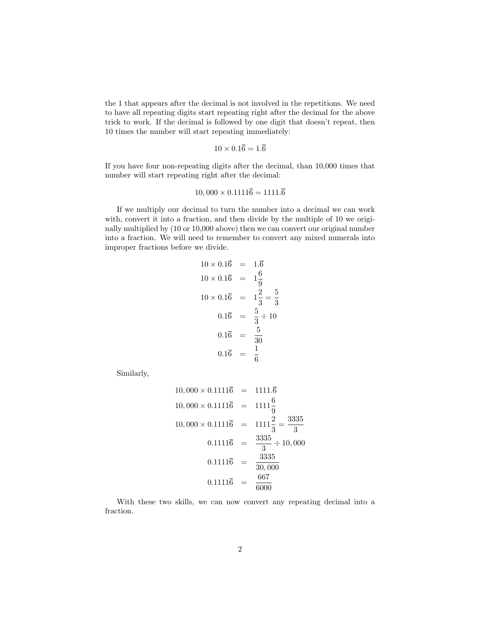the 1 that appears after the decimal is not involved in the repetitions. We need to have all repeating digits start repeating right after the decimal for the above trick to work. If the decimal is followed by one digit that doesn't repeat, then 10 times the number will start repeating immediately:

$$
10 \times 0.1\overline{6} = 1.\overline{6}
$$

If you have four non-repeating digits after the decimal, than 10,000 times that number will start repeating right after the decimal:

$$
10,000 \times 0.1111\overline{6} = 1111.\overline{6}
$$

If we multiply our decimal to turn the number into a decimal we can work with, convert it into a fraction, and then divide by the multiple of 10 we originally multiplied by (10 or 10,000 above) then we can convert our original number into a fraction. We will need to remember to convert any mixed numerals into improper fractions before we divide.

$$
10 \times 0.1\overline{6} = 1.\overline{6}
$$
  
\n
$$
10 \times 0.1\overline{6} = 1\frac{6}{9}
$$
  
\n
$$
10 \times 0.1\overline{6} = 1\frac{2}{3} = \frac{5}{3}
$$
  
\n
$$
0.1\overline{6} = \frac{5}{3} \div 10
$$
  
\n
$$
0.1\overline{6} = \frac{5}{30}
$$
  
\n
$$
0.1\overline{6} = \frac{1}{6}
$$

Similarly,

$$
10,000 \times 0.1111\overline{6} = 1111.\overline{6}
$$
  

$$
10,000 \times 0.1111\overline{6} = 1111\frac{6}{9}
$$
  

$$
10,000 \times 0.1111\overline{6} = 1111\frac{2}{3} = \frac{3335}{3}
$$
  

$$
0.1111\overline{6} = \frac{3335}{3} \div 10,000
$$
  

$$
0.1111\overline{6} = \frac{3335}{30,000}
$$
  

$$
0.1111\overline{6} = \frac{667}{6000}
$$

With these two skills, we can now convert any repeating decimal into a fraction.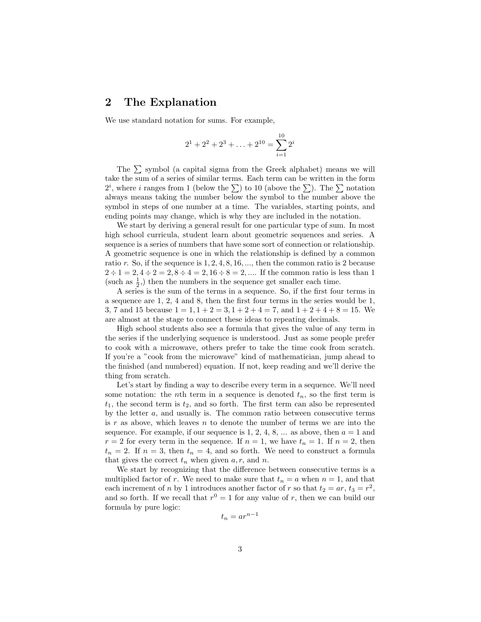## 2 The Explanation

We use standard notation for sums. For example,

$$
2^1 + 2^2 + 2^3 + \ldots + 2^{10} = \sum_{i=1}^{10} 2^i
$$

The  $\Sigma$  symbol (a capital sigma from the Greek alphabet) means we will take the sum of a series of similar terms. Each term can be written in the form take the sum of a series of similar terms. Each term can be written in the form  $2^i$ , where i ranges from 1 (below the  $\sum$ ) to 10 (above the  $\sum$ ). The  $\sum$  notation always means taking the number below the symbol to the number above the symbol in steps of one number at a time. The variables, starting points, and ending points may change, which is why they are included in the notation.

We start by deriving a general result for one particular type of sum. In most high school curricula, student learn about geometric sequences and series. A sequence is a series of numbers that have some sort of connection or relationship. A geometric sequence is one in which the relationship is defined by a common ratio r. So, if the sequence is  $1, 2, 4, 8, 16, \ldots$ , then the common ratio is 2 because  $2 \div 1 = 2, 4 \div 2 = 2, 8 \div 4 = 2, 16 \div 8 = 2, \dots$  If the common ratio is less than 1 (such as  $\frac{1}{2}$ ,) then the numbers in the sequence get smaller each time.

A series is the sum of the terms in a sequence. So, if the first four terms in a sequence are 1, 2, 4 and 8, then the first four terms in the series would be 1, 3, 7 and 15 because  $1 = 1, 1 + 2 = 3, 1 + 2 + 4 = 7$ , and  $1 + 2 + 4 + 8 = 15$ . We are almost at the stage to connect these ideas to repeating decimals.

High school students also see a formula that gives the value of any term in the series if the underlying sequence is understood. Just as some people prefer to cook with a microwave, others prefer to take the time cook from scratch. If you're a "cook from the microwave" kind of mathematician, jump ahead to the finished (and numbered) equation. If not, keep reading and we'll derive the thing from scratch.

Let's start by finding a way to describe every term in a sequence. We'll need some notation: the *n*th term in a sequence is denoted  $t_n$ , so the first term is  $t_1$ , the second term is  $t_2$ , and so forth. The first term can also be represented by the letter a, and usually is. The common ratio between consecutive terms is r as above, which leaves n to denote the number of terms we are into the sequence. For example, if our sequence is 1, 2, 4, 8, ... as above, then  $a = 1$  and  $r = 2$  for every term in the sequence. If  $n = 1$ , we have  $t_n = 1$ . If  $n = 2$ , then  $t_n = 2$ . If  $n = 3$ , then  $t_n = 4$ , and so forth. We need to construct a formula that gives the correct  $t_n$  when given  $a, r$ , and  $n$ .

We start by recognizing that the difference between consecutive terms is a multiplied factor of r. We need to make sure that  $t_n = a$  when  $n = 1$ , and that each increment of *n* by 1 introduces another factor of *r* so that  $t_2 = ar$ ,  $t_3 = r^2$ , and so forth. If we recall that  $r^0 = 1$  for any value of r, then we can build our formula by pure logic:

$$
t_n = ar^{n-1}
$$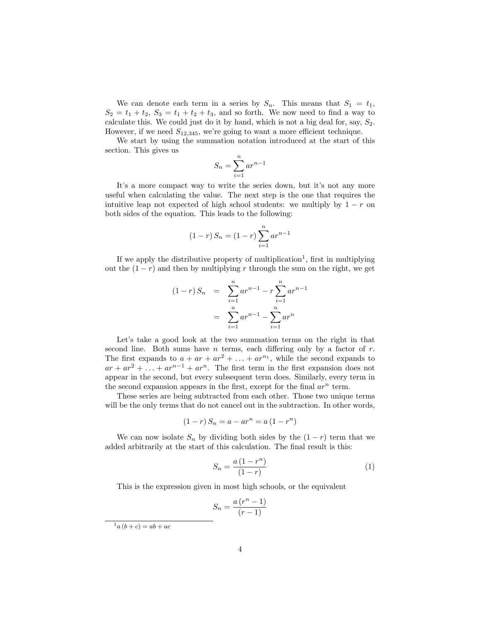We can denote each term in a series by  $S_n$ . This means that  $S_1 = t_1$ ,  $S_2 = t_1 + t_2$ ,  $S_3 = t_1 + t_2 + t_3$ , and so forth. We now need to find a way to calculate this. We could just do it by hand, which is not a big deal for, say,  $S_2$ . However, if we need  $S_{12,345}$ , we're going to want a more efficient technique.

We start by using the summation notation introduced at the start of this section. This gives us

$$
S_n = \sum_{i=1}^n ar^{n-1}
$$

It's a more compact way to write the series down, but it's not any more useful when calculating the value. The next step is the one that requires the intuitive leap not expected of high school students: we multiply by  $1 - r$  on both sides of the equation. This leads to the following:

$$
(1 - r) S_n = (1 - r) \sum_{i=1}^{n} ar^{n-1}
$$

If we apply the distributive property of multiplication<sup>1</sup>, first in multiplying out the  $(1 - r)$  and then by multiplying r through the sum on the right, we get

$$
(1 - r) S_n = \sum_{i=1}^n ar^{n-1} - r \sum_{i=1}^n ar^{n-1}
$$

$$
= \sum_{i=1}^n ar^{n-1} - \sum_{i=1}^n ar^n
$$

Let's take a good look at the two summation terms on the right in that second line. Both sums have  $n$  terms, each differing only by a factor of  $r$ . The first expands to  $a + ar + ar^2 + \ldots + ar^{n_1}$ , while the second expands to  $ar + ar^2 + \ldots + ar^{n-1} + ar^n$ . The first term in the first expansion does not appear in the second, but every subsequent term does. Similarly, every term in the second expansion appears in the first, except for the final  $ar^n$  term.

These series are being subtracted from each other. Those two unique terms will be the only terms that do not cancel out in the subtraction. In other words,

$$
(1 - r) S_n = a - ar^n = a (1 - r^n)
$$

We can now isolate  $S_n$  by dividing both sides by the  $(1 - r)$  term that we added arbitrarily at the start of this calculation. The final result is this:

$$
S_n = \frac{a(1 - r^n)}{(1 - r)}\tag{1}
$$

This is the expression given in most high schools, or the equivalent

$$
S_n = \frac{a\left(r^n - 1\right)}{\left(r - 1\right)}
$$

 $^{1}a(b+c) = ab + ac$